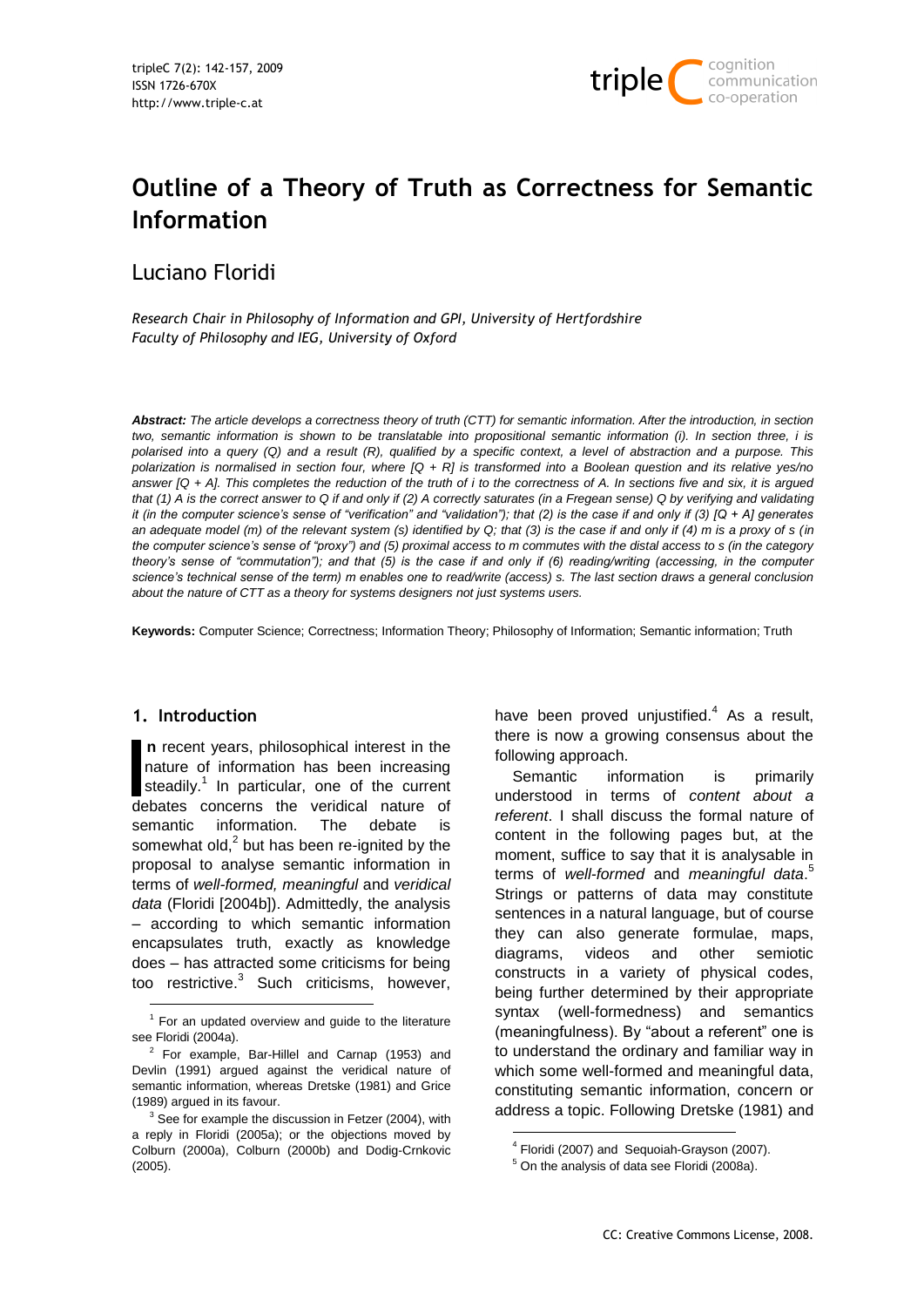

# **Outline of a Theory of Truth as Correctness for Semantic Information**

Luciano Floridi

*Research Chair in Philosophy of Information and GPI, University of Hertfordshire Faculty of Philosophy and IEG, University of Oxford*

*Abstract: The article develops a correctness theory of truth (CTT) for semantic information. After the introduction, in section two, semantic information is shown to be translatable into propositional semantic information (i). In section three, i is polarised into a query (Q) and a result (R), qualified by a specific context, a level of abstraction and a purpose. This polarization is normalised in section four, where [Q + R] is transformed into a Boolean question and its relative yes/no answer [Q + A]. This completes the reduction of the truth of i to the correctness of A. In sections five and six, it is argued that (1) A is the correct answer to Q if and only if (2) A correctly saturates (in a Fregean sense) Q by verifying and validating it (in the computer science's sense of "verification" and "validation"); that (2) is the case if and only if (3) [Q + A] generates an adequate model (m) of the relevant system (s) identified by Q; that (3) is the case if and only if (4) m is a proxy of s (in the computer science's sense of "proxy") and (5) proximal access to m commutes with the distal access to s (in the category theory's sense of "commutation"); and that (5) is the case if and only if (6) reading/writing (accessing, in the computer science's technical sense of the term) m enables one to read/write (access) s. The last section draws a general conclusion about the nature of CTT as a theory for systems designers not just systems users.*

**Keywords:** Computer Science; Correctness; Information Theory; Philosophy of Information; Semantic information; Truth

### **1. Introduction**

l

**n** recent years, philosophical interest in the nature of information has been increasing steadily.<sup>1</sup> In particular, one of the current debates concerns the veridical nature of semantic information. The debate is somewhat old, $2$  but has been re-ignited by the proposal to analyse semantic information in terms of *well-formed, meaningful* and *veridical data* (Floridi [2004b]). Admittedly, the analysis – according to which semantic information encapsulates truth, exactly as knowledge does – has attracted some criticisms for being too restrictive.<sup>3</sup> Such criticisms, however,

have been proved unjustified. $4$  As a result, there is now a growing consensus about the following approach.

Semantic information is primarily understood in terms of *content about a referent*. I shall discuss the formal nature of content in the following pages but, at the moment, suffice to say that it is analysable in terms of *well-formed* and *meaningful data*. 5 Strings or patterns of data may constitute sentences in a natural language, but of course they can also generate formulae, maps, diagrams, videos and other semiotic constructs in a variety of physical codes, being further determined by their appropriate syntax (well-formedness) and semantics (meaningfulness). By "about a referent" one is to understand the ordinary and familiar way in which some well-formed and meaningful data, constituting semantic information, concern or address a topic. Following Dretske (1981) and

-

 $1$  For an updated overview and guide to the literature see Floridi (2004a).

 $2$  For example, Bar-Hillel and Carnap (1953) and Devlin (1991) argued against the veridical nature of semantic information, whereas Dretske (1981) and Grice (1989) argued in its favour.

 $3$  See for example the discussion in Fetzer (2004), with a reply in Floridi (2005a); or the objections moved by Colburn (2000a), Colburn (2000b) and Dodig-Crnkovic (2005).

<sup>4</sup> Floridi (2007) and Sequoiah-Grayson (2007).

 $5$  On the analysis of data see Floridi (2008a).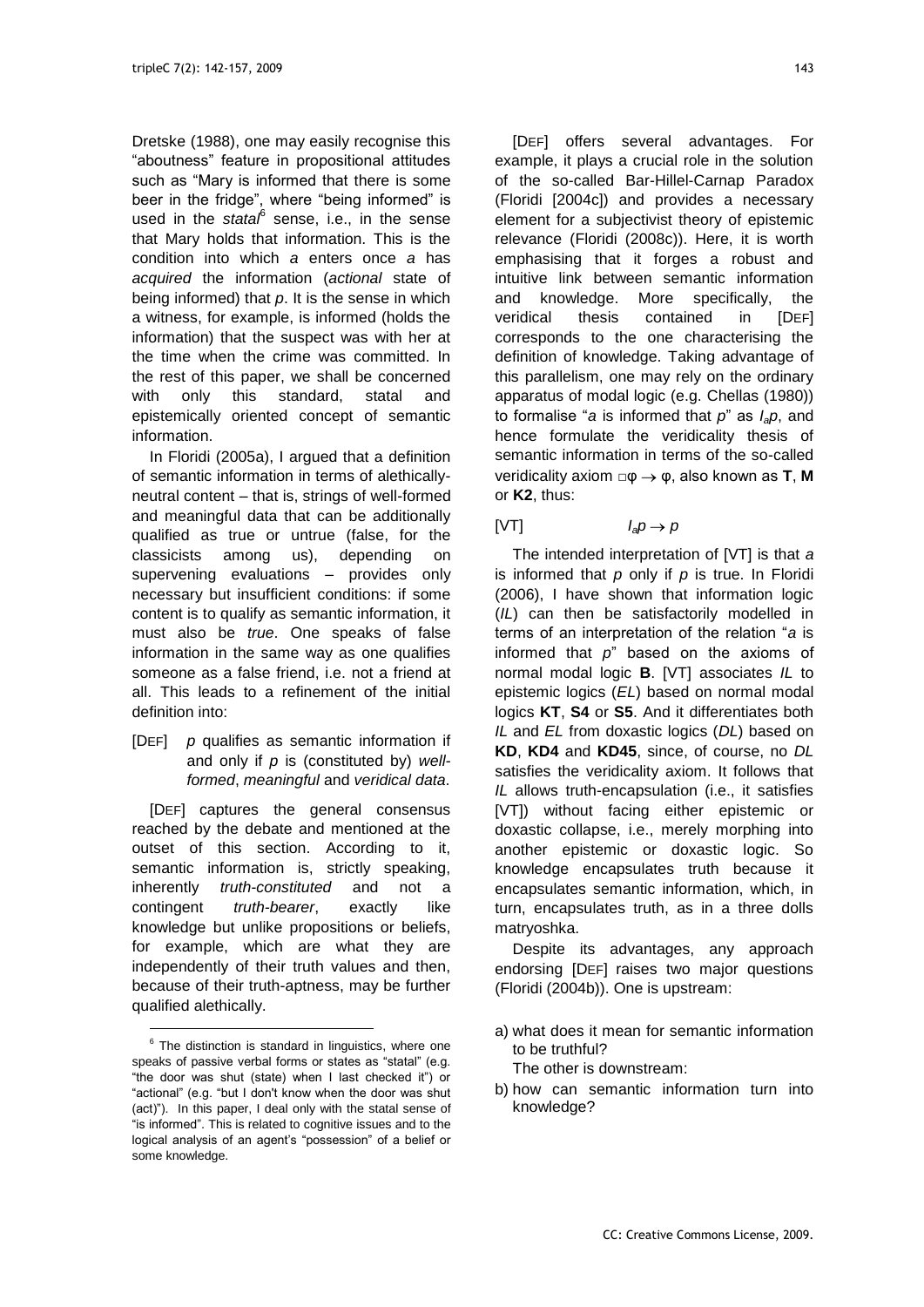Dretske (1988), one may easily recognise this "aboutness" feature in propositional attitudes such as "Mary is informed that there is some beer in the fridge", where "being informed" is used in the *statal*<sup>6</sup> sense, i.e., in the sense that Mary holds that information. This is the condition into which *a* enters once *a* has *acquired* the information (*actional* state of being informed) that *p*. It is the sense in which a witness, for example, is informed (holds the information) that the suspect was with her at the time when the crime was committed. In the rest of this paper, we shall be concerned with only this standard, statal and epistemically oriented concept of semantic information.

In Floridi (2005a), I argued that a definition of semantic information in terms of alethicallyneutral content – that is, strings of well-formed and meaningful data that can be additionally qualified as true or untrue (false, for the classicists among us), depending on supervening evaluations – provides only necessary but insufficient conditions: if some content is to qualify as semantic information, it must also be *true*. One speaks of false information in the same way as one qualifies someone as a false friend, i.e. not a friend at all. This leads to a refinement of the initial definition into:

[DEF] *p* qualifies as semantic information if and only if *p* is (constituted by) *wellformed*, *meaningful* and *veridical data*.

[DEF] captures the general consensus reached by the debate and mentioned at the outset of this section. According to it, semantic information is, strictly speaking, inherently *truth-constituted* and not a contingent *truth-bearer*, exactly like knowledge but unlike propositions or beliefs, for example, which are what they are independently of their truth values and then, because of their truth-aptness, may be further qualified alethically.

l

[DEF] offers several advantages. For example, it plays a crucial role in the solution of the so-called Bar-Hillel-Carnap Paradox (Floridi [2004c]) and provides a necessary element for a subjectivist theory of epistemic relevance (Floridi (2008c)). Here, it is worth emphasising that it forges a robust and intuitive link between semantic information and knowledge. More specifically, the veridical thesis contained in [DEF] corresponds to the one characterising the definition of knowledge. Taking advantage of this parallelism, one may rely on the ordinary apparatus of modal logic (e.g. Chellas (1980)) to formalise "*a* is informed that *p*" as *Iap*, and hence formulate the veridicality thesis of semantic information in terms of the so-called veridicality axiom □φ φ, also known as **T**, **M** or **K2**, thus:

# $[VT]$   $I_a p \rightarrow p$

The intended interpretation of [VT] is that *a* is informed that *p* only if *p* is true. In Floridi (2006), I have shown that information logic (*IL*) can then be satisfactorily modelled in terms of an interpretation of the relation "*a* is informed that *p*" based on the axioms of normal modal logic **B**. [VT] associates *IL* to epistemic logics (*EL*) based on normal modal logics **KT**, **S4** or **S5**. And it differentiates both *IL* and *EL* from doxastic logics (*DL*) based on **KD**, **KD4** and **KD45**, since, of course, no *DL* satisfies the veridicality axiom. It follows that *IL* allows truth-encapsulation (i.e., it satisfies [VT]) without facing either epistemic or doxastic collapse, i.e., merely morphing into another epistemic or doxastic logic. So knowledge encapsulates truth because it encapsulates semantic information, which, in turn, encapsulates truth, as in a three dolls matryoshka.

Despite its advantages, any approach endorsing [DEF] raises two major questions (Floridi (2004b)). One is upstream:

a) what does it mean for semantic information to be truthful?

The other is downstream:

b) how can semantic information turn into knowledge?

<sup>&</sup>lt;sup>6</sup> The distinction is standard in linguistics, where one speaks of passive verbal forms or states as "statal" (e.g. "the door was shut (state) when I last checked it") or "actional" (e.g. "but I don't know when the door was shut (act)"). In this paper, I deal only with the statal sense of "is informed". This is related to cognitive issues and to the logical analysis of an agent's "possession" of a belief or some knowledge.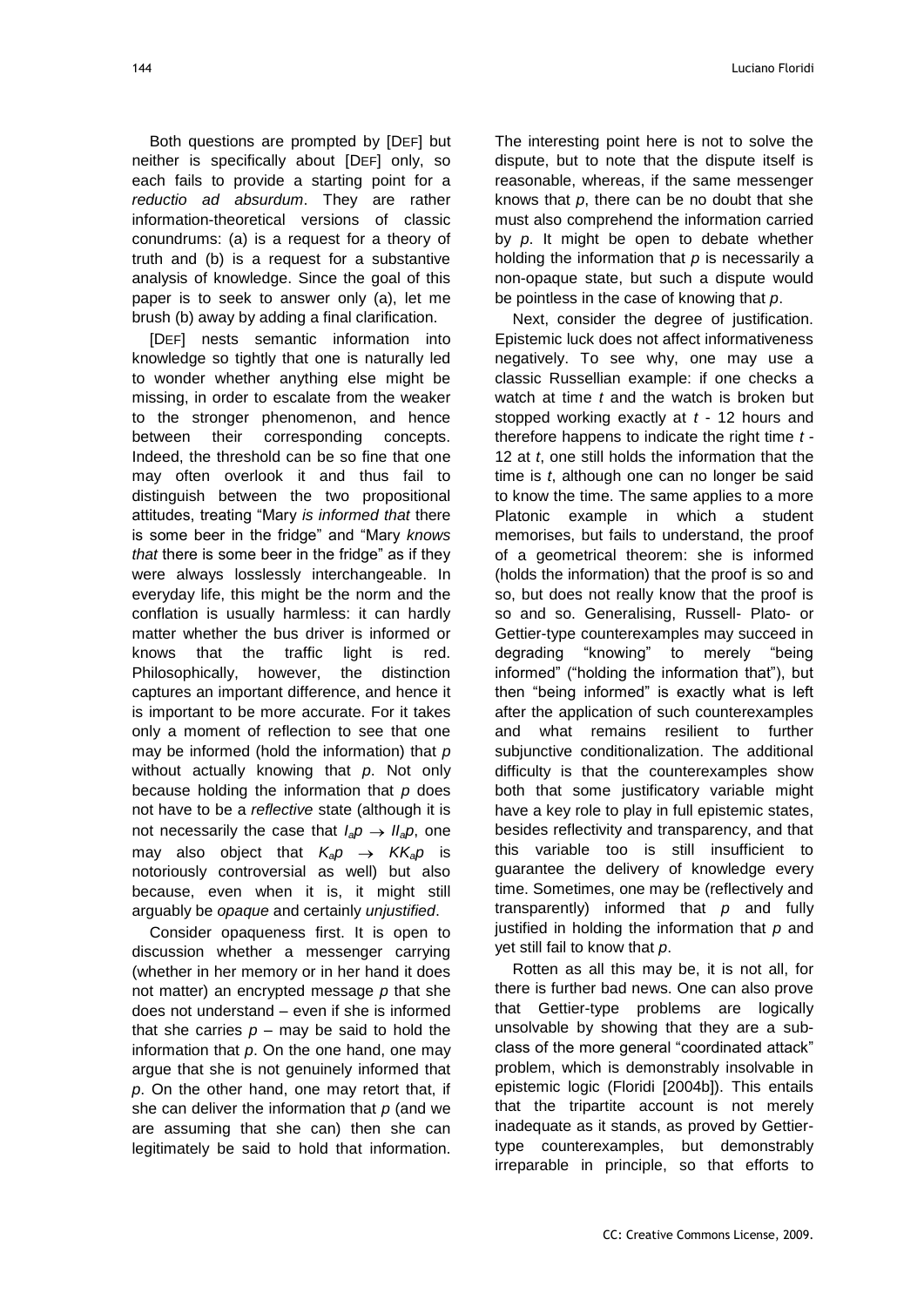Both questions are prompted by [DEF] but neither is specifically about [DEF] only, so each fails to provide a starting point for a *reductio ad absurdum*. They are rather information-theoretical versions of classic conundrums: (a) is a request for a theory of truth and (b) is a request for a substantive analysis of knowledge. Since the goal of this paper is to seek to answer only (a), let me brush (b) away by adding a final clarification.

[DEF] nests semantic information into knowledge so tightly that one is naturally led to wonder whether anything else might be missing, in order to escalate from the weaker to the stronger phenomenon, and hence between their corresponding concepts. Indeed, the threshold can be so fine that one may often overlook it and thus fail to distinguish between the two propositional attitudes, treating "Mary *is informed that* there is some beer in the fridge" and "Mary *knows that* there is some beer in the fridge" as if they were always losslessly interchangeable. In everyday life, this might be the norm and the conflation is usually harmless: it can hardly matter whether the bus driver is informed or knows that the traffic light is red. Philosophically, however, the distinction captures an important difference, and hence it is important to be more accurate. For it takes only a moment of reflection to see that one may be informed (hold the information) that *p* without actually knowing that *p*. Not only because holding the information that *p* does not have to be a *reflective* state (although it is not necessarily the case that  $I_a p \rightarrow I I_a p$ , one may also object that  $K_a p \rightarrow K K_a p$  is notoriously controversial as well) but also because, even when it is, it might still arguably be *opaque* and certainly *unjustified*.

Consider opaqueness first. It is open to discussion whether a messenger carrying (whether in her memory or in her hand it does not matter) an encrypted message *p* that she does not understand – even if she is informed that she carries  $p -$  may be said to hold the information that *p*. On the one hand, one may argue that she is not genuinely informed that *p*. On the other hand, one may retort that, if she can deliver the information that *p* (and we are assuming that she can) then she can legitimately be said to hold that information. The interesting point here is not to solve the dispute, but to note that the dispute itself is reasonable, whereas, if the same messenger knows that *p*, there can be no doubt that she must also comprehend the information carried by *p*. It might be open to debate whether holding the information that *p* is necessarily a non-opaque state, but such a dispute would be pointless in the case of knowing that *p*.

Next, consider the degree of justification. Epistemic luck does not affect informativeness negatively. To see why, one may use a classic Russellian example: if one checks a watch at time *t* and the watch is broken but stopped working exactly at *t* - 12 hours and therefore happens to indicate the right time *t -* 12 at *t*, one still holds the information that the time is *t*, although one can no longer be said to know the time. The same applies to a more Platonic example in which a student memorises, but fails to understand, the proof of a geometrical theorem: she is informed (holds the information) that the proof is so and so, but does not really know that the proof is so and so. Generalising, Russell- Plato- or Gettier-type counterexamples may succeed in degrading "knowing" to merely "being informed" ("holding the information that"), but then "being informed" is exactly what is left after the application of such counterexamples and what remains resilient to further subjunctive conditionalization. The additional difficulty is that the counterexamples show both that some justificatory variable might have a key role to play in full epistemic states, besides reflectivity and transparency, and that this variable too is still insufficient to guarantee the delivery of knowledge every time. Sometimes, one may be (reflectively and transparently) informed that *p* and fully justified in holding the information that *p* and yet still fail to know that *p*.

Rotten as all this may be, it is not all, for there is further bad news. One can also prove that Gettier-type problems are logically unsolvable by showing that they are a subclass of the more general "coordinated attack" problem, which is demonstrably insolvable in epistemic logic (Floridi [2004b]). This entails that the tripartite account is not merely inadequate as it stands, as proved by Gettiertype counterexamples, but demonstrably irreparable in principle, so that efforts to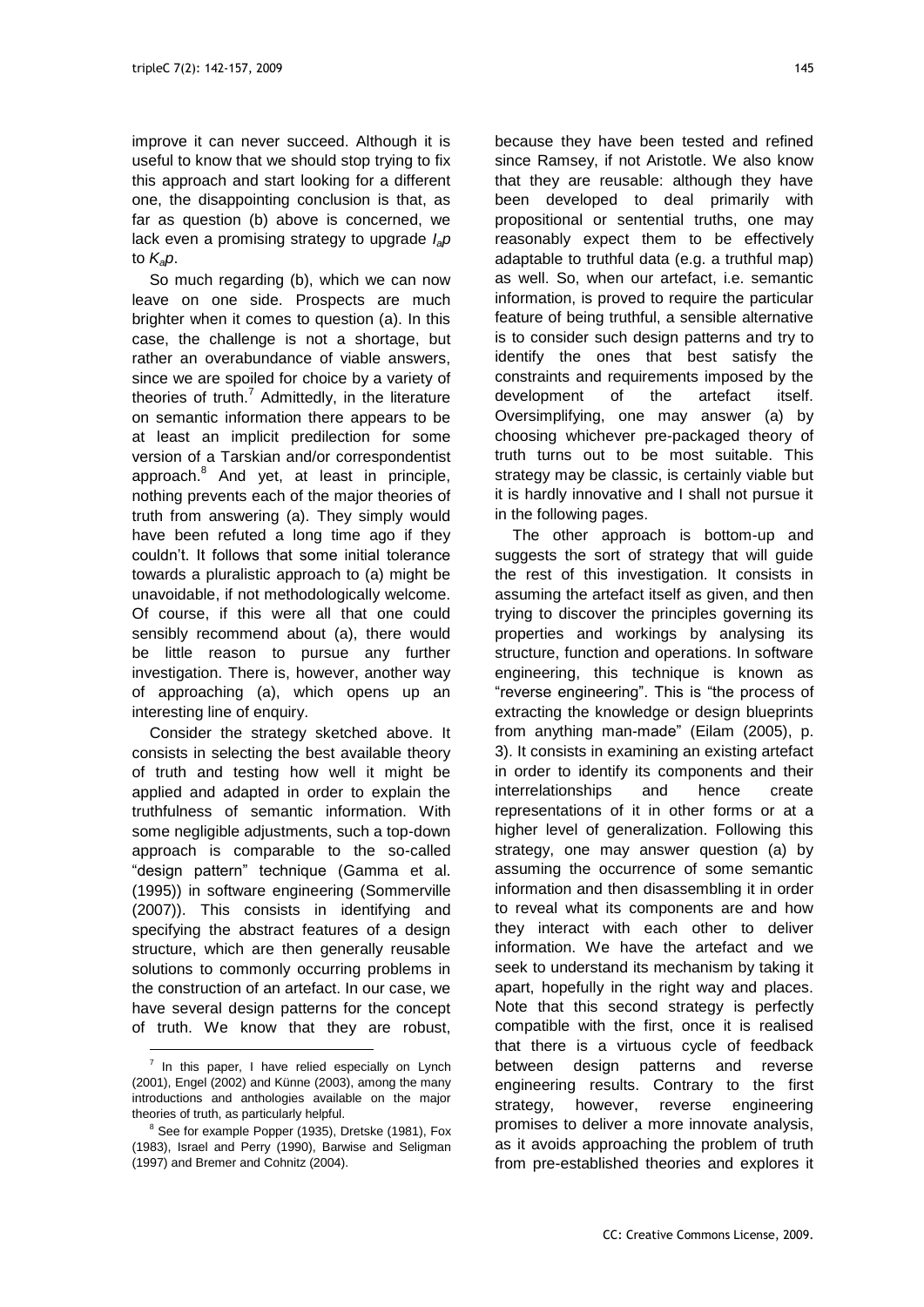improve it can never succeed. Although it is useful to know that we should stop trying to fix this approach and start looking for a different one, the disappointing conclusion is that, as far as question (b) above is concerned, we lack even a promising strategy to upgrade *Iap*  to  $K_a p$ .

So much regarding (b), which we can now leave on one side. Prospects are much brighter when it comes to question (a). In this case, the challenge is not a shortage, but rather an overabundance of viable answers, since we are spoiled for choice by a variety of theories of truth.<sup>7</sup> Admittedly, in the literature on semantic information there appears to be at least an implicit predilection for some version of a Tarskian and/or correspondentist approach.<sup>8</sup> And yet, at least in principle, nothing prevents each of the major theories of truth from answering (a). They simply would have been refuted a long time ago if they couldn't. It follows that some initial tolerance towards a pluralistic approach to (a) might be unavoidable, if not methodologically welcome. Of course, if this were all that one could sensibly recommend about (a), there would be little reason to pursue any further investigation. There is, however, another way of approaching (a), which opens up an interesting line of enquiry.

Consider the strategy sketched above. It consists in selecting the best available theory of truth and testing how well it might be applied and adapted in order to explain the truthfulness of semantic information. With some negligible adjustments, such a top-down approach is comparable to the so-called "design pattern" technique (Gamma et al. (1995)) in software engineering (Sommerville (2007)). This consists in identifying and specifying the abstract features of a design structure, which are then generally reusable solutions to commonly occurring problems in the construction of an artefact. In our case, we have several design patterns for the concept of truth. We know that they are robust,

l

because they have been tested and refined since Ramsey, if not Aristotle. We also know that they are reusable: although they have been developed to deal primarily with propositional or sentential truths, one may reasonably expect them to be effectively adaptable to truthful data (e.g. a truthful map) as well. So, when our artefact, i.e. semantic information, is proved to require the particular feature of being truthful, a sensible alternative is to consider such design patterns and try to identify the ones that best satisfy the constraints and requirements imposed by the development of the artefact itself. Oversimplifying, one may answer (a) by choosing whichever pre-packaged theory of truth turns out to be most suitable. This strategy may be classic, is certainly viable but it is hardly innovative and I shall not pursue it in the following pages.

The other approach is bottom-up and suggests the sort of strategy that will guide the rest of this investigation. It consists in assuming the artefact itself as given, and then trying to discover the principles governing its properties and workings by analysing its structure, function and operations. In software engineering, this technique is known as "reverse engineering". This is "the process of extracting the knowledge or design blueprints from anything man-made" (Eilam (2005), p. 3). It consists in examining an existing artefact in order to identify its components and their interrelationships and hence create representations of it in other forms or at a higher level of generalization. Following this strategy, one may answer question (a) by assuming the occurrence of some semantic information and then disassembling it in order to reveal what its components are and how they interact with each other to deliver information. We have the artefact and we seek to understand its mechanism by taking it apart, hopefully in the right way and places. Note that this second strategy is perfectly compatible with the first, once it is realised that there is a virtuous cycle of feedback between design patterns and reverse engineering results. Contrary to the first strategy, however, reverse engineering promises to deliver a more innovate analysis, as it avoids approaching the problem of truth from pre-established theories and explores it

 $<sup>7</sup>$  In this paper, I have relied especially on Lynch</sup> (2001), Engel (2002) and Künne (2003), among the many introductions and anthologies available on the major theories of truth, as particularly helpful.

<sup>8</sup> See for example Popper (1935), Dretske (1981), Fox (1983), Israel and Perry (1990), Barwise and Seligman (1997) and Bremer and Cohnitz (2004).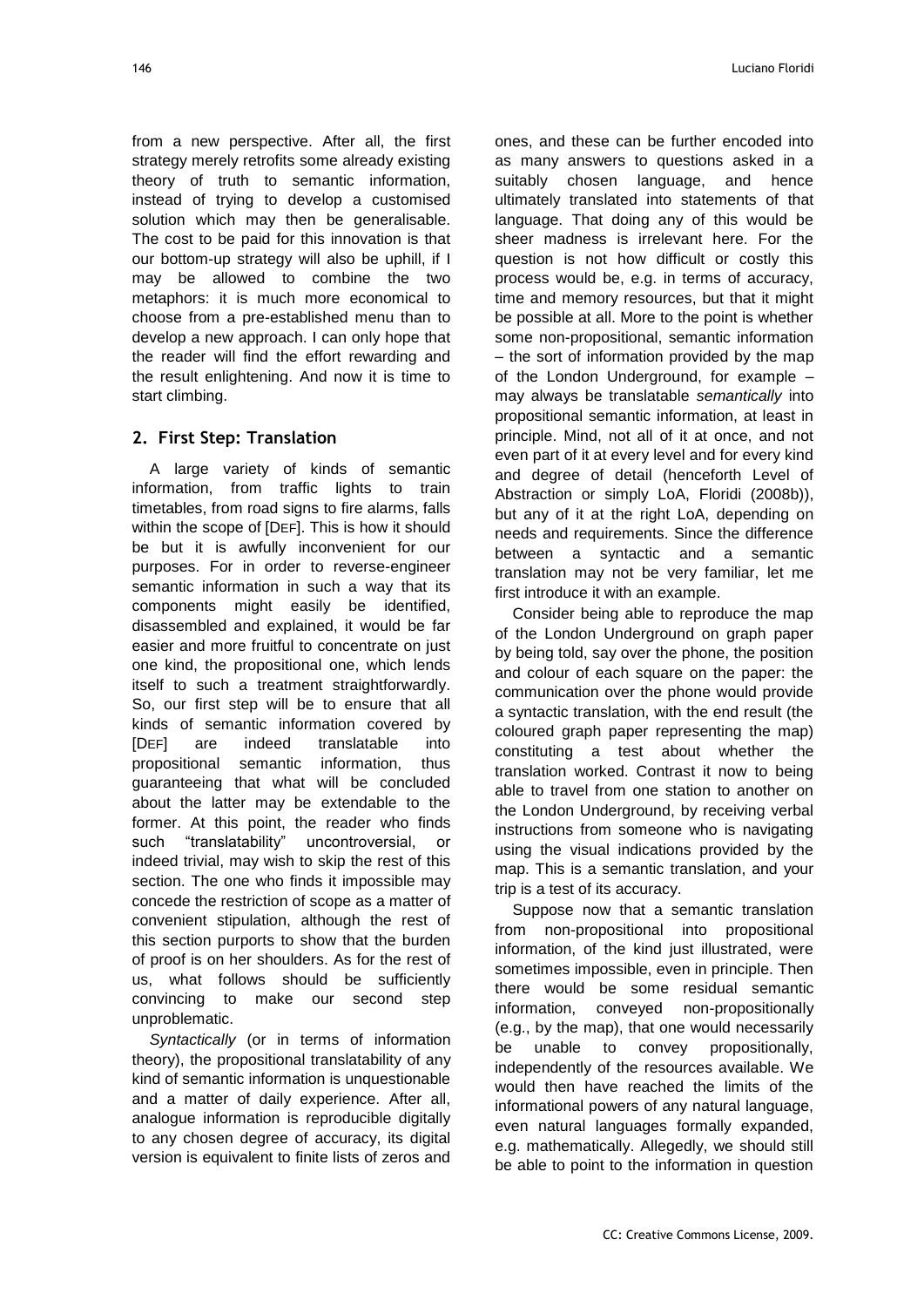from a new perspective. After all, the first strategy merely retrofits some already existing theory of truth to semantic information, instead of trying to develop a customised solution which may then be generalisable. The cost to be paid for this innovation is that our bottom-up strategy will also be uphill, if I may be allowed to combine the two metaphors: it is much more economical to choose from a pre-established menu than to develop a new approach. I can only hope that the reader will find the effort rewarding and the result enlightening. And now it is time to start climbing.

## **2. First Step: Translation**

A large variety of kinds of semantic information, from traffic lights to train timetables, from road signs to fire alarms, falls within the scope of [DEF]. This is how it should be but it is awfully inconvenient for our purposes. For in order to reverse-engineer semantic information in such a way that its components might easily be identified, disassembled and explained, it would be far easier and more fruitful to concentrate on just one kind, the propositional one, which lends itself to such a treatment straightforwardly. So, our first step will be to ensure that all kinds of semantic information covered by [DEF] are indeed translatable into propositional semantic information, thus guaranteeing that what will be concluded about the latter may be extendable to the former. At this point, the reader who finds such "translatability" uncontroversial, or indeed trivial, may wish to skip the rest of this section. The one who finds it impossible may concede the restriction of scope as a matter of convenient stipulation, although the rest of this section purports to show that the burden of proof is on her shoulders. As for the rest of us, what follows should be sufficiently convincing to make our second step unproblematic.

*Syntactically* (or in terms of information theory), the propositional translatability of any kind of semantic information is unquestionable and a matter of daily experience. After all, analogue information is reproducible digitally to any chosen degree of accuracy, its digital version is equivalent to finite lists of zeros and

ones, and these can be further encoded into as many answers to questions asked in a suitably chosen language, and hence ultimately translated into statements of that language. That doing any of this would be sheer madness is irrelevant here. For the question is not how difficult or costly this process would be, e.g. in terms of accuracy, time and memory resources, but that it might be possible at all. More to the point is whether some non-propositional, semantic information – the sort of information provided by the map of the London Underground, for example – may always be translatable *semantically* into propositional semantic information, at least in principle. Mind, not all of it at once, and not even part of it at every level and for every kind and degree of detail (henceforth Level of Abstraction or simply LoA, Floridi (2008b)), but any of it at the right LoA, depending on needs and requirements. Since the difference between a syntactic and a semantic translation may not be very familiar, let me first introduce it with an example.

Consider being able to reproduce the map of the London Underground on graph paper by being told, say over the phone, the position and colour of each square on the paper: the communication over the phone would provide a syntactic translation, with the end result (the coloured graph paper representing the map) constituting a test about whether the translation worked. Contrast it now to being able to travel from one station to another on the London Underground, by receiving verbal instructions from someone who is navigating using the visual indications provided by the map. This is a semantic translation, and your trip is a test of its accuracy.

Suppose now that a semantic translation from non-propositional into propositional information, of the kind just illustrated, were sometimes impossible, even in principle. Then there would be some residual semantic information, conveyed non-propositionally (e.g., by the map), that one would necessarily be unable to convey propositionally, independently of the resources available. We would then have reached the limits of the informational powers of any natural language, even natural languages formally expanded, e.g. mathematically. Allegedly, we should still be able to point to the information in question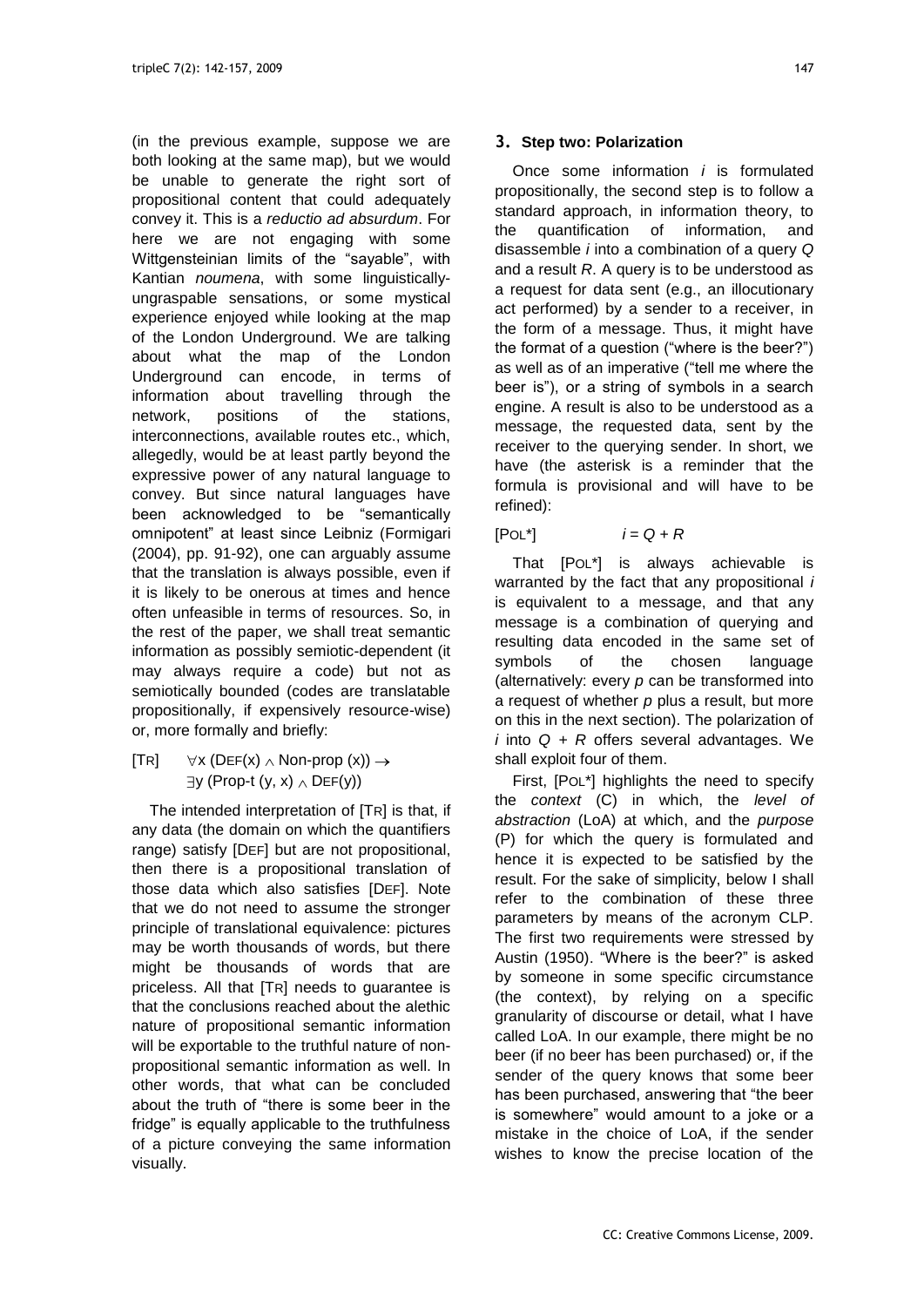(in the previous example, suppose we are both looking at the same map), but we would be unable to generate the right sort of propositional content that could adequately convey it. This is a *reductio ad absurdum*. For here we are not engaging with some Wittgensteinian limits of the "sayable", with Kantian *noumena*, with some linguisticallyungraspable sensations, or some mystical experience enjoyed while looking at the map of the London Underground. We are talking about what the map of the London Underground can encode, in terms of information about travelling through the network, positions of the stations, interconnections, available routes etc., which, allegedly, would be at least partly beyond the expressive power of any natural language to convey. But since natural languages have been acknowledged to be "semantically omnipotent" at least since Leibniz (Formigari (2004), pp. 91-92), one can arguably assume that the translation is always possible, even if it is likely to be onerous at times and hence often unfeasible in terms of resources. So, in the rest of the paper, we shall treat semantic information as possibly semiotic-dependent (it may always require a code) but not as semiotically bounded (codes are translatable propositionally, if expensively resource-wise) or, more formally and briefly:

 $[TR] \quad \forall x (DEF(x) \wedge \text{Non-prop}(x)) \rightarrow$  $\exists y$  (Prop-t (y, x)  $\land$  DEF(y))

The intended interpretation of [TR] is that, if any data (the domain on which the quantifiers range) satisfy [DEF] but are not propositional, then there is a propositional translation of those data which also satisfies [DEF]. Note that we do not need to assume the stronger principle of translational equivalence: pictures may be worth thousands of words, but there might be thousands of words that are priceless. All that [TR] needs to guarantee is that the conclusions reached about the alethic nature of propositional semantic information will be exportable to the truthful nature of nonpropositional semantic information as well. In other words, that what can be concluded about the truth of "there is some beer in the fridge" is equally applicable to the truthfulness of a picture conveying the same information visually.

#### **3. Step two: Polarization**

Once some information *i* is formulated propositionally, the second step is to follow a standard approach, in information theory, to the quantification of information, and disassemble *i* into a combination of a query *Q* and a result *R*. A query is to be understood as a request for data sent (e.g., an illocutionary act performed) by a sender to a receiver, in the form of a message. Thus, it might have the format of a question ("where is the beer?") as well as of an imperative ("tell me where the beer is"), or a string of symbols in a search engine. A result is also to be understood as a message, the requested data, sent by the receiver to the querying sender. In short, we have (the asterisk is a reminder that the formula is provisional and will have to be refined):

### $[POL^*]$   $i = Q + R$

That [POL\*] is always achievable is warranted by the fact that any propositional *i* is equivalent to a message, and that any message is a combination of querying and resulting data encoded in the same set of symbols of the chosen language (alternatively: every *p* can be transformed into a request of whether *p* plus a result, but more on this in the next section). The polarization of *i* into *Q + R* offers several advantages. We shall exploit four of them.

First, [POL\*] highlights the need to specify the *context* (C) in which, the *level of abstraction* (LoA) at which, and the *purpose* (P) for which the query is formulated and hence it is expected to be satisfied by the result. For the sake of simplicity, below I shall refer to the combination of these three parameters by means of the acronym CLP. The first two requirements were stressed by Austin (1950). "Where is the beer?" is asked by someone in some specific circumstance (the context), by relying on a specific granularity of discourse or detail, what I have called LoA. In our example, there might be no beer (if no beer has been purchased) or, if the sender of the query knows that some beer has been purchased, answering that "the beer is somewhere" would amount to a joke or a mistake in the choice of LoA, if the sender wishes to know the precise location of the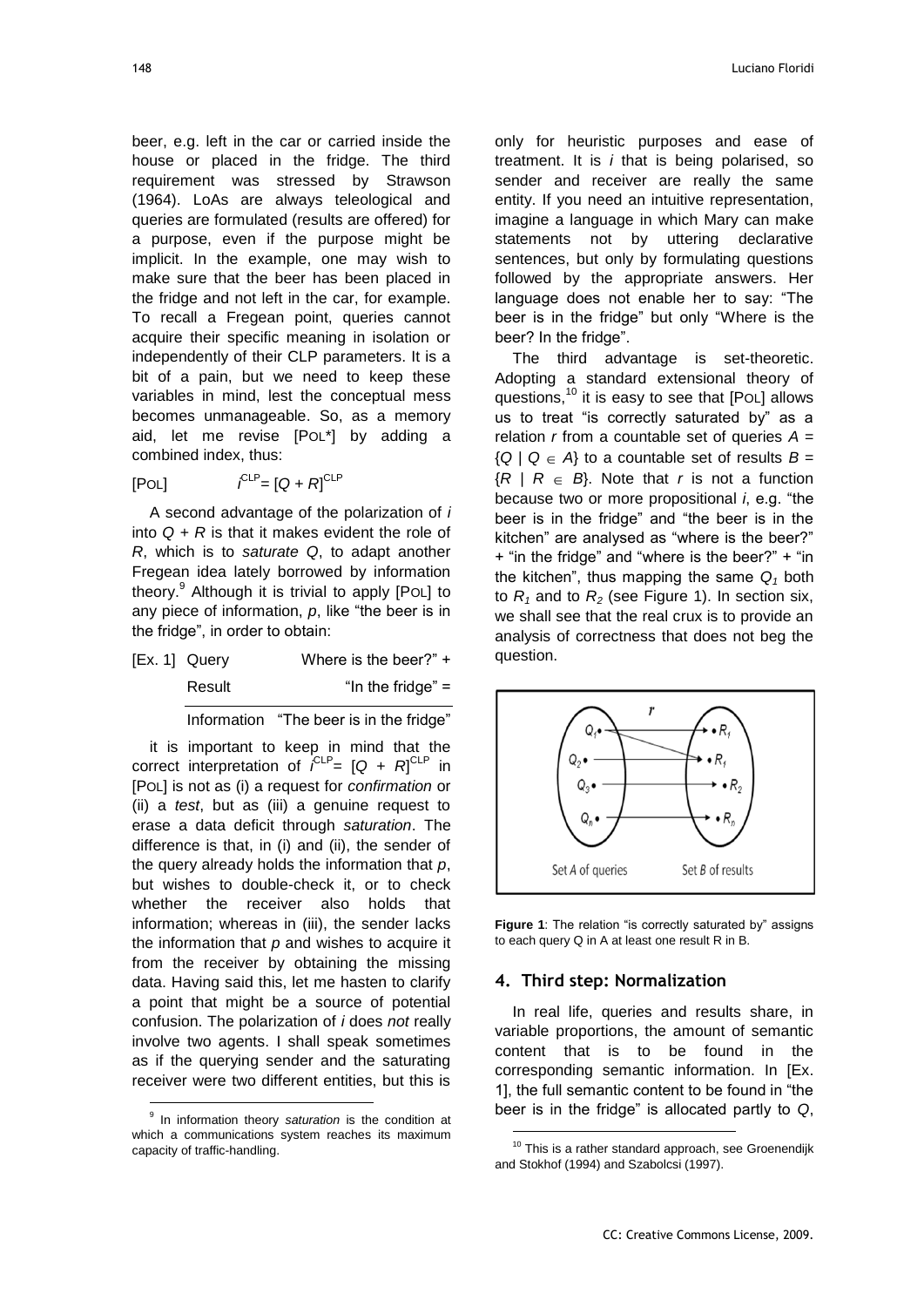beer, e.g. left in the car or carried inside the house or placed in the fridge. The third requirement was stressed by Strawson (1964). LoAs are always teleological and queries are formulated (results are offered) for a purpose, even if the purpose might be implicit. In the example, one may wish to make sure that the beer has been placed in the fridge and not left in the car, for example. To recall a Fregean point, queries cannot acquire their specific meaning in isolation or independently of their CLP parameters. It is a bit of a pain, but we need to keep these variables in mind, lest the conceptual mess becomes unmanageable. So, as a memory aid, let me revise [POL\*] by adding a

$$
[POL]
$$
 
$$
{}^{CLP} = [Q + R]^{CLP}
$$

combined index, thus:

A second advantage of the polarization of *i* into *Q* + *R* is that it makes evident the role of *R*, which is to *saturate Q*, to adapt another Fregean idea lately borrowed by information theory.<sup>9</sup> Although it is trivial to apply [POL] to any piece of information, *p*, like "the beer is in the fridge", in order to obtain:

| [Ex. 1] Query |        | Where is the beer?" $+$ |
|---------------|--------|-------------------------|
|               | Result | "In the fridge" $=$     |

Information "The beer is in the fridge"

it is important to keep in mind that the correct interpretation of  $\hat{I}^{CLP} = [Q + R]^{CLP}$  in [POL] is not as (i) a request for *confirmation* or (ii) a *test*, but as (iii) a genuine request to erase a data deficit through *saturation*. The difference is that, in (i) and (ii), the sender of the query already holds the information that *p*, but wishes to double-check it, or to check whether the receiver also holds that information; whereas in (iii), the sender lacks the information that *p* and wishes to acquire it from the receiver by obtaining the missing data. Having said this, let me hasten to clarify a point that might be a source of potential confusion. The polarization of *i* does *not* really involve two agents. I shall speak sometimes as if the querying sender and the saturating receiver were two different entities, but this is

l

only for heuristic purposes and ease of treatment. It is *i* that is being polarised, so sender and receiver are really the same entity. If you need an intuitive representation, imagine a language in which Mary can make statements not by uttering declarative sentences, but only by formulating questions followed by the appropriate answers. Her language does not enable her to say: "The beer is in the fridge" but only "Where is the beer? In the fridge".

The third advantage is set-theoretic. Adopting a standard extensional theory of questions,<sup>10</sup> it is easy to see that  $[Pol]$  allows us to treat "is correctly saturated by" as a relation  $r$  from a countable set of queries  $A =$  ${Q \mid Q \in A}$  to a countable set of results  $B =$  ${R \mid R \in B}$ . Note that *r* is not a function because two or more propositional *i*, e.g. "the beer is in the fridge" and "the beer is in the kitchen" are analysed as "where is the beer?" + "in the fridge" and "where is the beer?" + "in the kitchen", thus mapping the same  $Q_1$  both to  $R_1$  and to  $R_2$  (see Figure 1). In section six, we shall see that the real crux is to provide an analysis of correctness that does not beg the question.



**Figure 1:** The relation "is correctly saturated by" assigns to each query Q in A at least one result R in B.

# **4. Third step: Normalization**

 $\overline{a}$ 

In real life, queries and results share, in variable proportions, the amount of semantic content that is to be found in the corresponding semantic information. In [Ex. 1], the full semantic content to be found in "the beer is in the fridge" is allocated partly to *Q*,

<sup>9</sup> In information theory *saturation* is the condition at which a communications system reaches its maximum capacity of traffic-handling.

 $10$  This is a rather standard approach, see Groenendijk and Stokhof (1994) and Szabolcsi (1997).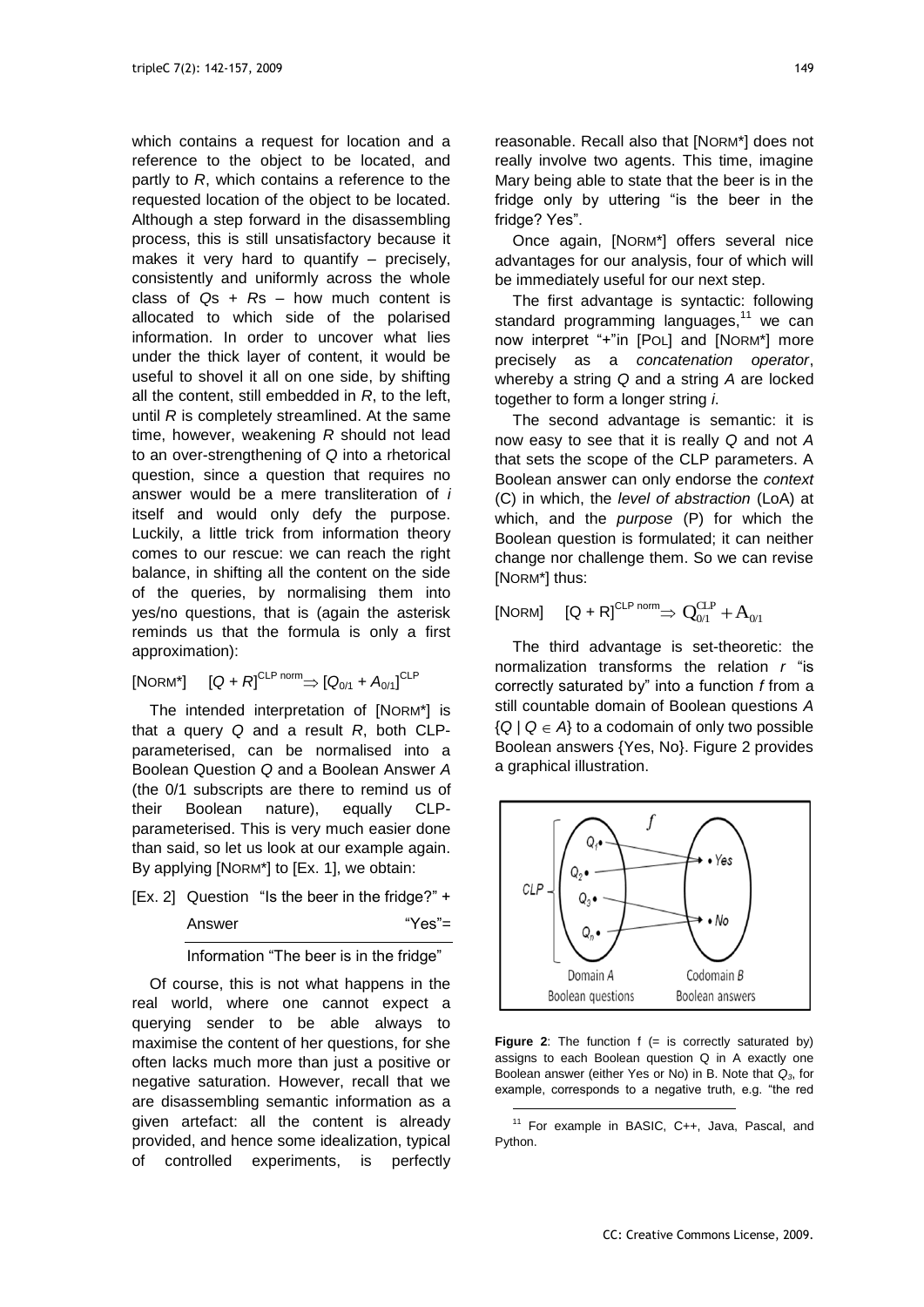which contains a request for location and a reference to the object to be located, and partly to *R*, which contains a reference to the requested location of the object to be located. Although a step forward in the disassembling process, this is still unsatisfactory because it makes it very hard to quantify – precisely, consistently and uniformly across the whole class of *Q*s + *R*s – how much content is allocated to which side of the polarised information. In order to uncover what lies under the thick layer of content, it would be useful to shovel it all on one side, by shifting all the content, still embedded in *R*, to the left, until *R* is completely streamlined. At the same time, however, weakening *R* should not lead to an over-strengthening of *Q* into a rhetorical question, since a question that requires no answer would be a mere transliteration of *i*  itself and would only defy the purpose. Luckily, a little trick from information theory comes to our rescue: we can reach the right balance, in shifting all the content on the side of the queries, by normalising them into yes/no questions, that is (again the asterisk reminds us that the formula is only a first approximation):

 $\text{[NORM*]}$   $\text{[Q + R]}^{\text{CLP norm}} \Rightarrow \text{[Q}_{0/1} + A_{0/1}]^{\text{CLP}}$ 

The intended interpretation of [NORM\*] is that a query *Q* and a result *R*, both CLPparameterised, can be normalised into a Boolean Question *Q* and a Boolean Answer *A* (the 0/1 subscripts are there to remind us of their Boolean nature), equally CLPparameterised. This is very much easier done than said, so let us look at our example again. By applying [NORM\*] to [Ex. 1], we obtain:

[Ex. 2] Question "Is the beer in the fridge?" +

| Answer | "Yes"= |
|--------|--------|
|        |        |

Information "The beer is in the fridge"

Of course, this is not what happens in the real world, where one cannot expect a querying sender to be able always to maximise the content of her questions, for she often lacks much more than just a positive or negative saturation. However, recall that we are disassembling semantic information as a given artefact: all the content is already provided, and hence some idealization, typical of controlled experiments, is perfectly

reasonable. Recall also that [NORM\*] does not really involve two agents. This time, imagine Mary being able to state that the beer is in the fridge only by uttering "is the beer in the fridge? Yes".

Once again, [NORM\*] offers several nice advantages for our analysis, four of which will be immediately useful for our next step.

The first advantage is syntactic: following standard programming languages.<sup>11</sup> we can now interpret "+"in [POL] and [NORM\*] more precisely as a *concatenation operator*, whereby a string *Q* and a string *A* are locked together to form a longer string *i*.

The second advantage is semantic: it is now easy to see that it is really *Q* and not *A* that sets the scope of the CLP parameters. A Boolean answer can only endorse the *context* (C) in which, the *level of abstraction* (LoA) at which, and the *purpose* (P) for which the Boolean question is formulated; it can neither change nor challenge them. So we can revise [NORM\*] thus:

[NORM]  $[Q + R]^{CLP \text{ norm}} \Rightarrow Q_{0/1}^{CLP} + A_{0/1}$ 

The third advantage is set-theoretic: the normalization transforms the relation *r* "is correctly saturated by" into a function *f* from a still countable domain of Boolean questions *A*  ${Q \mid Q \in A}$  to a codomain of only two possible Boolean answers {Yes, No}. Figure 2 provides a graphical illustration.



**Figure 2:** The function f (= is correctly saturated by) assigns to each Boolean question Q in A exactly one Boolean answer (either Yes or No) in B. Note that *Q3*, for example, corresponds to a negative truth, e.g. "the red

 $\overline{a}$ 

<sup>11</sup> For example in BASIC, C++, Java, Pascal, and Python.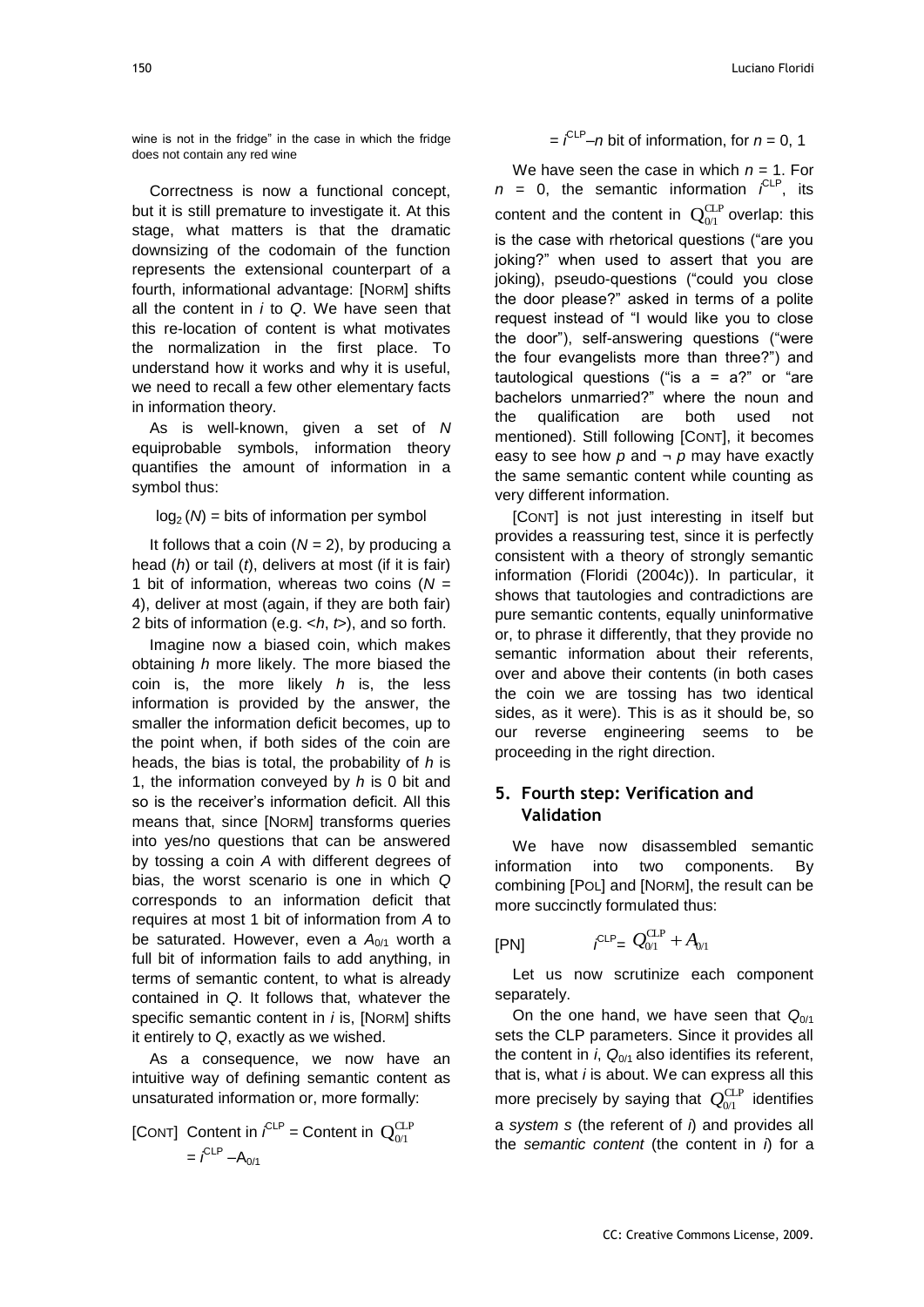wine is not in the fridge" in the case in which the fridge does not contain any red wine

Correctness is now a functional concept, but it is still premature to investigate it. At this stage, what matters is that the dramatic downsizing of the codomain of the function represents the extensional counterpart of a fourth, informational advantage: [NORM] shifts all the content in *i* to *Q*. We have seen that this re-location of content is what motivates the normalization in the first place. To understand how it works and why it is useful, we need to recall a few other elementary facts in information theory.

As is well-known, given a set of *N* equiprobable symbols, information theory quantifies the amount of information in a symbol thus:

### $log_2(N)$  = bits of information per symbol

It follows that a coin  $(N = 2)$ , by producing a head (*h*) or tail (*t*), delivers at most (if it is fair) 1 bit of information, whereas two coins (*N* = 4), deliver at most (again, if they are both fair) 2 bits of information (e.g. <*h*, *t*>), and so forth.

Imagine now a biased coin, which makes obtaining *h* more likely. The more biased the coin is, the more likely *h* is, the less information is provided by the answer, the smaller the information deficit becomes, up to the point when, if both sides of the coin are heads, the bias is total, the probability of *h* is 1, the information conveyed by *h* is 0 bit and so is the receiver's information deficit. All this means that, since [NORM] transforms queries into yes/no questions that can be answered by tossing a coin *A* with different degrees of bias, the worst scenario is one in which *Q* corresponds to an information deficit that requires at most 1 bit of information from *A* to be saturated. However, even a  $A_{0/1}$  worth a full bit of information fails to add anything, in terms of semantic content, to what is already contained in *Q*. It follows that, whatever the specific semantic content in *i* is, [NORM] shifts it entirely to *Q*, exactly as we wished.

As a consequence, we now have an intuitive way of defining semantic content as unsaturated information or, more formally:

[CONT] Content in 
$$
\hat{V}^{LP}
$$
 = Content in  $Q_{0/1}^{CLP}$   
=  $\hat{V}^{LP} - A_{0/1}$ 

# $=$   $I^{CLP}$  – *n* bit of information, for *n* = 0, 1

We have seen the case in which  $n = 1$ . For  $n = 0$ , the semantic information  $l^{\text{CLP}}$ , its content and the content in  $Q_{0/1}^{CLP}$  overlap: this is the case with rhetorical questions ("are you joking?" when used to assert that you are joking), pseudo-questions ("could you close the door please?" asked in terms of a polite request instead of "I would like you to close the door"), self-answering questions ("were the four evangelists more than three?") and tautological questions ("is  $a = a$ ?" or "are bachelors unmarried?" where the noun and the qualification are both used not mentioned). Still following [CONT], it becomes easy to see how *p* and ¬ *p* may have exactly the same semantic content while counting as very different information.

[CONT] is not just interesting in itself but provides a reassuring test, since it is perfectly consistent with a theory of strongly semantic information (Floridi (2004c)). In particular, it shows that tautologies and contradictions are pure semantic contents, equally uninformative or, to phrase it differently, that they provide no semantic information about their referents, over and above their contents (in both cases the coin we are tossing has two identical sides, as it were). This is as it should be, so our reverse engineering seems to be proceeding in the right direction.

# **5. Fourth step: Verification and Validation**

We have now disassembled semantic information into two components. By combining [POL] and [NORM], the result can be more succinctly formulated thus:

[PN] 
$$
\beta^{\text{LP}} = Q_{01}^{\text{CLP}} + A_{01}
$$

Let us now scrutinize each component separately.

On the one hand, we have seen that  $Q_{0/1}$ sets the CLP parameters. Since it provides all the content in  $i$ ,  $Q_{0/1}$  also identifies its referent, that is, what *i* is about. We can express all this more precisely by saying that  $Q_{0/1}^{\text{CLP}}$  identifies a *system s* (the referent of *i*) and provides all the *semantic content* (the content in *i*) for a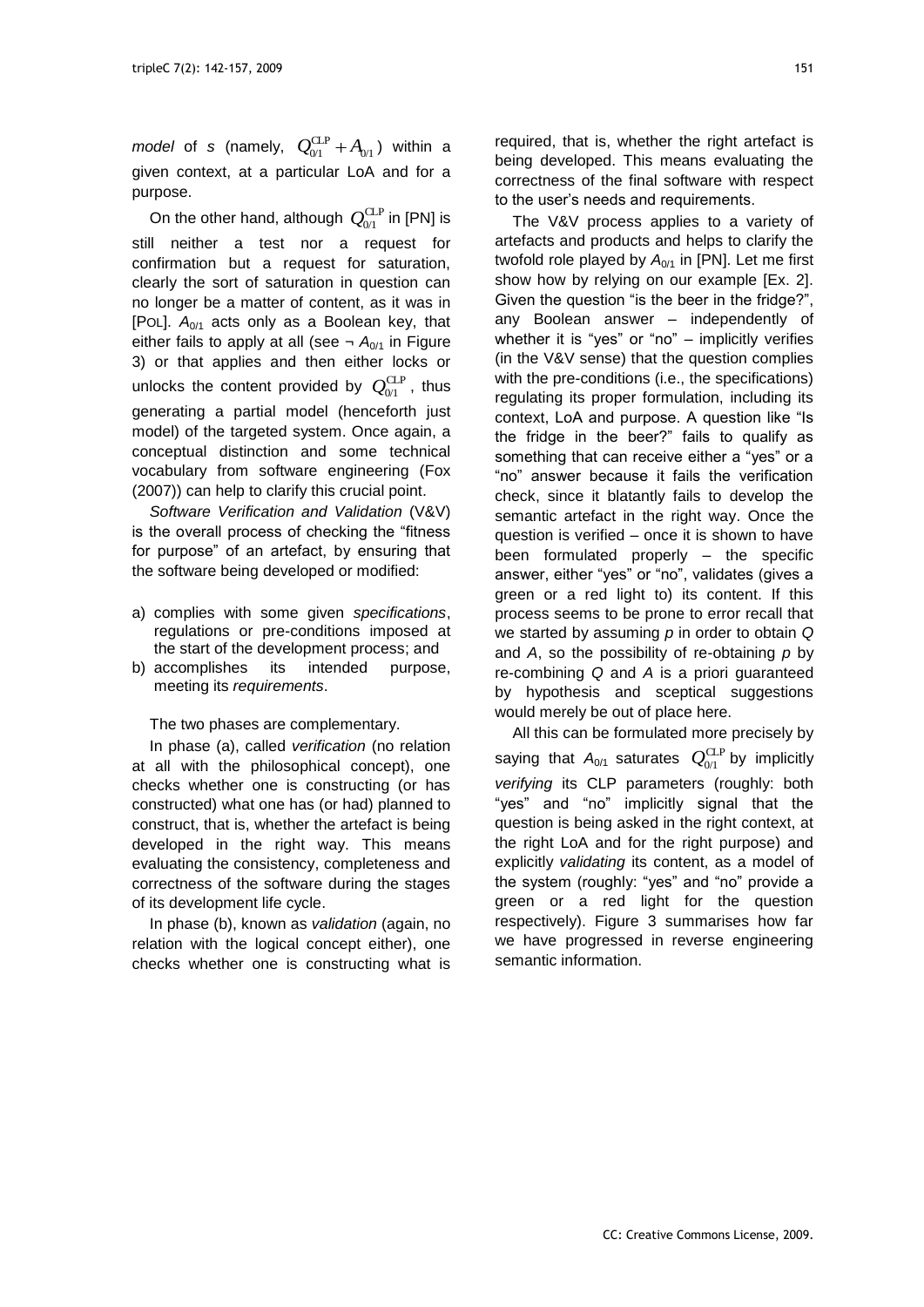*model* of *s* (namely,  $Q_{01}^{\text{CLP}} + A_{01}$ ) within a given context, at a particular LoA and for a purpose.

On the other hand, although  $\mathcal{Q}^{\text{CLP}}_{0/1}$  in [PN] is still neither a test nor a request for confirmation but a request for saturation, clearly the sort of saturation in question can no longer be a matter of content, as it was in [POL].  $A_{0/1}$  acts only as a Boolean key, that either fails to apply at all (see  $\neg A_{0/1}$  in Figure 3) or that applies and then either locks or unlocks the content provided by  $Q_{0/1}^{\text{CLP}}$ , thus generating a partial model (henceforth just model) of the targeted system. Once again, a conceptual distinction and some technical vocabulary from software engineering (Fox (2007)) can help to clarify this crucial point.

*Software Verification and Validation* (V&V) is the overall process of checking the "fitness for purpose" of an artefact, by ensuring that the software being developed or modified:

- a) complies with some given *specifications*, regulations or pre-conditions imposed at the start of the development process; and
- b) accomplishes its intended purpose, meeting its *requirements*.

The two phases are complementary.

In phase (a), called *verification* (no relation at all with the philosophical concept), one checks whether one is constructing (or has constructed) what one has (or had) planned to construct, that is, whether the artefact is being developed in the right way. This means evaluating the consistency, completeness and correctness of the software during the stages of its development life cycle.

In phase (b), known as *validation* (again, no relation with the logical concept either), one checks whether one is constructing what is required, that is, whether the right artefact is being developed. This means evaluating the correctness of the final software with respect to the user's needs and requirements.

The V&V process applies to a variety of artefacts and products and helps to clarify the twofold role played by  $A_{0/1}$  in [PN]. Let me first show how by relying on our example [Ex. 2]. Given the question "is the beer in the fridge?", any Boolean answer – independently of whether it is "yes" or "no" – implicitly verifies (in the V&V sense) that the question complies with the pre-conditions (i.e., the specifications) regulating its proper formulation, including its context, LoA and purpose. A question like "Is the fridge in the beer?" fails to qualify as something that can receive either a "yes" or a "no" answer because it fails the verification check, since it blatantly fails to develop the semantic artefact in the right way. Once the question is verified – once it is shown to have been formulated properly – the specific answer, either "yes" or "no", validates (gives a green or a red light to) its content. If this process seems to be prone to error recall that we started by assuming *p* in order to obtain *Q* and *A*, so the possibility of re-obtaining *p* by re-combining *Q* and *A* is a priori guaranteed by hypothesis and sceptical suggestions would merely be out of place here.

All this can be formulated more precisely by saying that  $A_{0/1}$  saturates  $Q_{0/1}^{\text{CLP}}$  by implicitly *verifying* its CLP parameters (roughly: both "yes" and "no" implicitly signal that the question is being asked in the right context, at the right LoA and for the right purpose) and explicitly *validating* its content, as a model of the system (roughly: "yes" and "no" provide a green or a red light for the question respectively). Figure 3 summarises how far we have progressed in reverse engineering semantic information.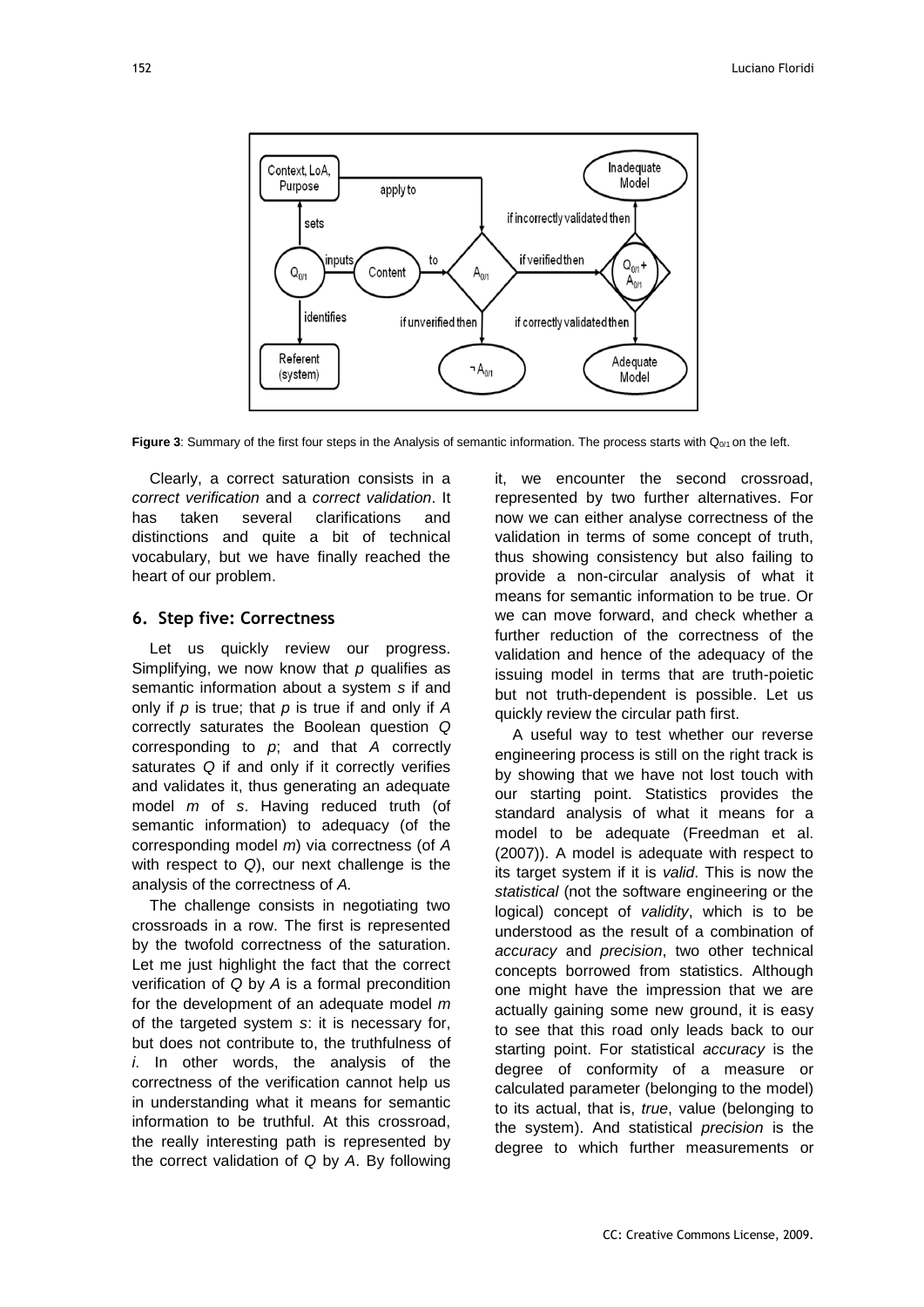

**Figure 3:** Summary of the first four steps in the Analysis of semantic information. The process starts with  $Q_{0/1}$  on the left.

Clearly, a correct saturation consists in a *correct verification* and a *correct validation*. It has taken several clarifications and distinctions and quite a bit of technical vocabulary, but we have finally reached the heart of our problem.

#### **6. Step five: Correctness**

Let us quickly review our progress. Simplifying, we now know that *p* qualifies as semantic information about a system *s* if and only if *p* is true; that *p* is true if and only if *A* correctly saturates the Boolean question *Q* corresponding to *p*; and that *A* correctly saturates *Q* if and only if it correctly verifies and validates it, thus generating an adequate model *m* of *s*. Having reduced truth (of semantic information) to adequacy (of the corresponding model *m*) via correctness (of *A* with respect to *Q*), our next challenge is the analysis of the correctness of *A.*

The challenge consists in negotiating two crossroads in a row. The first is represented by the twofold correctness of the saturation. Let me just highlight the fact that the correct verification of *Q* by *A* is a formal precondition for the development of an adequate model *m* of the targeted system *s*: it is necessary for, but does not contribute to, the truthfulness of *i*. In other words, the analysis of the correctness of the verification cannot help us in understanding what it means for semantic information to be truthful. At this crossroad, the really interesting path is represented by the correct validation of *Q* by *A*. By following

it, we encounter the second crossroad, represented by two further alternatives. For now we can either analyse correctness of the validation in terms of some concept of truth, thus showing consistency but also failing to provide a non-circular analysis of what it means for semantic information to be true. Or we can move forward, and check whether a further reduction of the correctness of the validation and hence of the adequacy of the issuing model in terms that are truth-poietic but not truth-dependent is possible. Let us quickly review the circular path first.

A useful way to test whether our reverse engineering process is still on the right track is by showing that we have not lost touch with our starting point. Statistics provides the standard analysis of what it means for a model to be adequate (Freedman et al. (2007)). A model is adequate with respect to its target system if it is *valid*. This is now the *statistical* (not the software engineering or the logical) concept of *validity*, which is to be understood as the result of a combination of *accuracy* and *precision*, two other technical concepts borrowed from statistics. Although one might have the impression that we are actually gaining some new ground, it is easy to see that this road only leads back to our starting point. For statistical *accuracy* is the degree of conformity of a measure or calculated parameter (belonging to the model) to its actual, that is, *true*, value (belonging to the system). And statistical *precision* is the degree to which further measurements or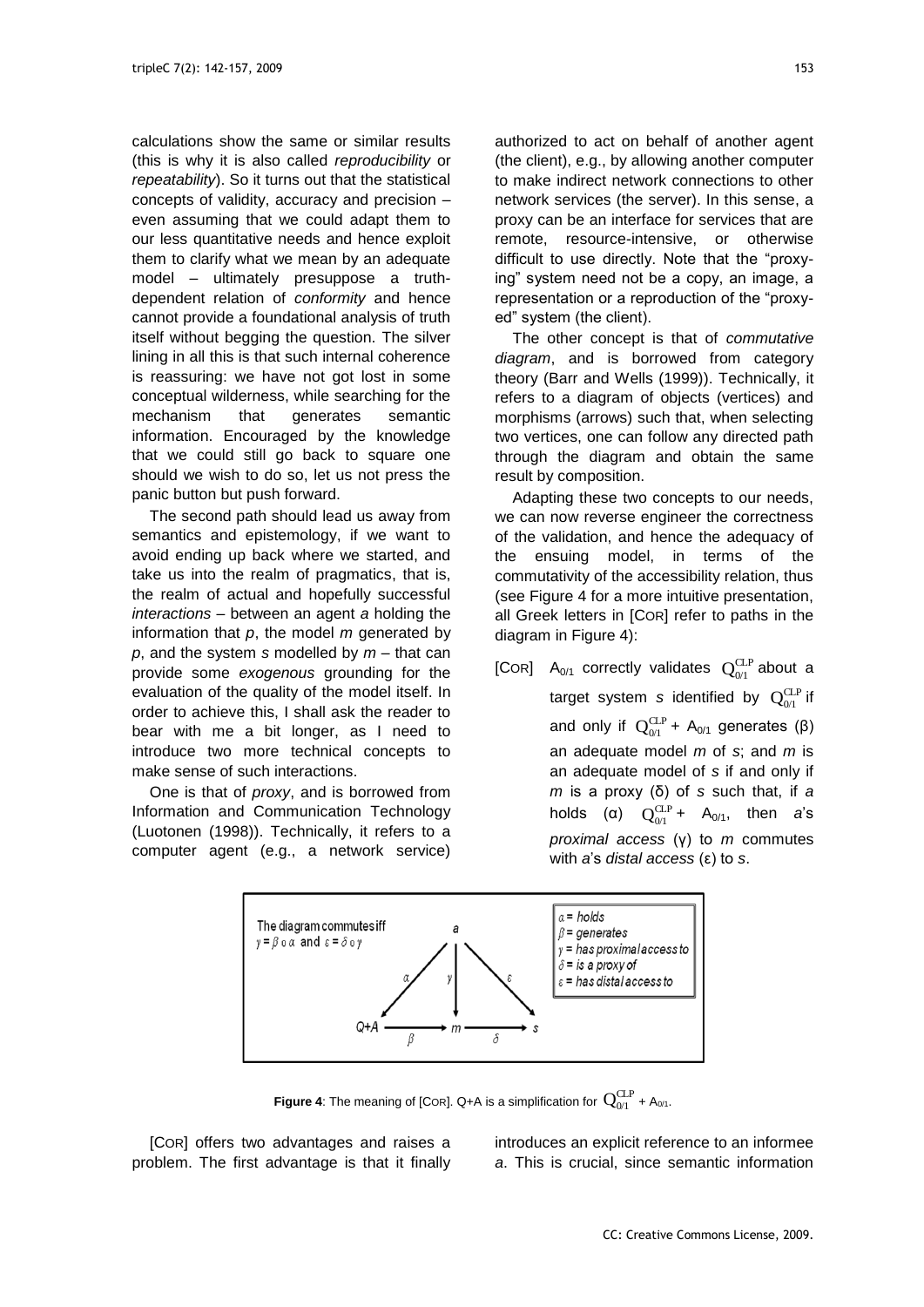calculations show the same or similar results (this is why it is also called *reproducibility* or *repeatability*). So it turns out that the statistical concepts of validity, accuracy and precision – even assuming that we could adapt them to our less quantitative needs and hence exploit them to clarify what we mean by an adequate model – ultimately presuppose a truthdependent relation of *conformity* and hence cannot provide a foundational analysis of truth itself without begging the question. The silver lining in all this is that such internal coherence is reassuring: we have not got lost in some conceptual wilderness, while searching for the mechanism that generates semantic information. Encouraged by the knowledge that we could still go back to square one should we wish to do so, let us not press the panic button but push forward.

The second path should lead us away from semantics and epistemology, if we want to avoid ending up back where we started, and take us into the realm of pragmatics, that is, the realm of actual and hopefully successful *interactions* – between an agent *a* holding the information that *p*, the model *m* generated by *p*, and the system *s* modelled by *m* – that can provide some *exogenous* grounding for the evaluation of the quality of the model itself. In order to achieve this, I shall ask the reader to bear with me a bit longer, as I need to introduce two more technical concepts to make sense of such interactions.

One is that of *proxy*, and is borrowed from Information and Communication Technology (Luotonen (1998)). Technically, it refers to a computer agent (e.g., a network service) authorized to act on behalf of another agent (the client), e.g., by allowing another computer to make indirect network connections to other network services (the server). In this sense, a proxy can be an interface for services that are remote, resource-intensive, or otherwise difficult to use directly. Note that the "proxying" system need not be a copy, an image, a representation or a reproduction of the "proxyed" system (the client).

The other concept is that of *commutative diagram*, and is borrowed from category theory (Barr and Wells (1999)). Technically, it refers to a diagram of objects (vertices) and morphisms (arrows) such that, when selecting two vertices, one can follow any directed path through the diagram and obtain the same result by composition.

Adapting these two concepts to our needs, we can now reverse engineer the correctness of the validation, and hence the adequacy of the ensuing model, in terms of the commutativity of the accessibility relation, thus (see Figure 4 for a more intuitive presentation, all Greek letters in [COR] refer to paths in the diagram in Figure 4):

[COR]  $A_{0/1}$  correctly validates  $Q_{0/1}^{CLP}$  about a target system *s* identified by  $Q_{0/1}^{CLP}$  if and only if  $Q_{0/1}^{CLP}$  + A<sub>0/1</sub> generates ( $\beta$ ) an adequate model *m* of *s*; and *m* is an adequate model of *s* if and only if *m* is a proxy (δ) of *s* such that, if *a* holds (a)  $Q_{0/1}^{CLP}$  +  $A_{0/1}$ , then *a*'s *proximal access* (γ) to *m* commutes with *a*'s *distal access* (ε) to *s*.



**Figure 4**: The meaning of [COR]. Q+A is a simplification for  $Q_{0/1}^{\text{CLP}}$  + A<sub>0/1</sub>.

[COR] offers two advantages and raises a problem. The first advantage is that it finally introduces an explicit reference to an informee *a*. This is crucial, since semantic information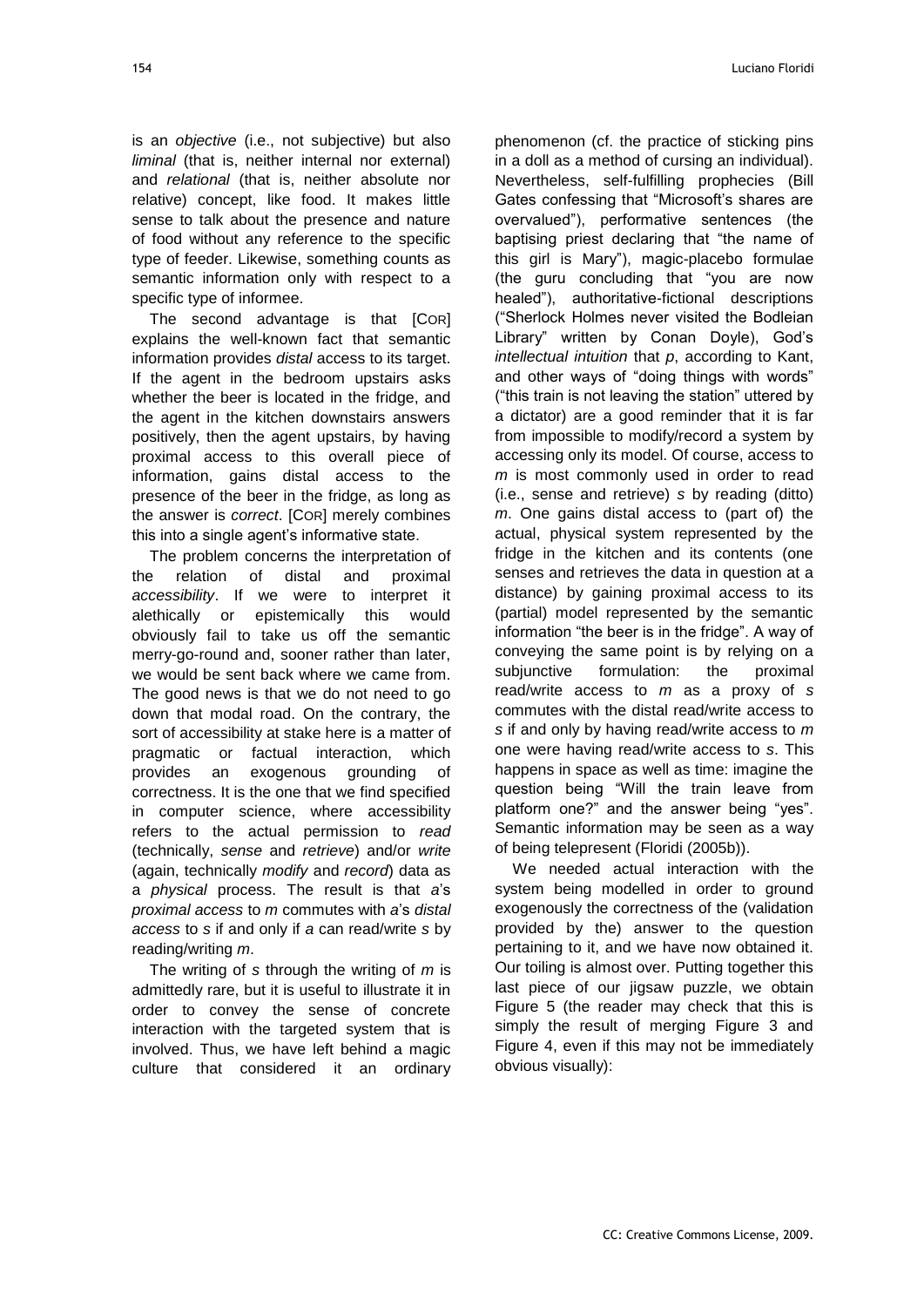is an *objective* (i.e., not subjective) but also *liminal* (that is, neither internal nor external) and *relational* (that is, neither absolute nor relative) concept, like food. It makes little sense to talk about the presence and nature of food without any reference to the specific type of feeder. Likewise, something counts as semantic information only with respect to a specific type of informee.

The second advantage is that [COR] explains the well-known fact that semantic information provides *distal* access to its target. If the agent in the bedroom upstairs asks whether the beer is located in the fridge, and the agent in the kitchen downstairs answers positively, then the agent upstairs, by having proximal access to this overall piece of information, gains distal access to the presence of the beer in the fridge, as long as the answer is *correct*. [COR] merely combines this into a single agent's informative state.

The problem concerns the interpretation of the relation of distal and proximal *accessibility*. If we were to interpret it alethically or epistemically this would obviously fail to take us off the semantic merry-go-round and, sooner rather than later, we would be sent back where we came from. The good news is that we do not need to go down that modal road. On the contrary, the sort of accessibility at stake here is a matter of pragmatic or factual interaction, which provides an exogenous grounding of correctness. It is the one that we find specified in computer science, where accessibility refers to the actual permission to *read* (technically, *sense* and *retrieve*) and/or *write* (again, technically *modify* and *record*) data as a *physical* process. The result is that *a*'s *proximal access* to *m* commutes with *a*'s *distal access* to *s* if and only if *a* can read/write *s* by reading/writing *m*.

The writing of *s* through the writing of *m* is admittedly rare, but it is useful to illustrate it in order to convey the sense of concrete interaction with the targeted system that is involved. Thus, we have left behind a magic culture that considered it an ordinary

phenomenon (cf. the practice of sticking pins in a doll as a method of cursing an individual). Nevertheless, self-fulfilling prophecies (Bill Gates confessing that "Microsoft's shares are overvalued"), performative sentences (the baptising priest declaring that "the name of this girl is Mary"), magic-placebo formulae (the guru concluding that "you are now healed"), authoritative-fictional descriptions ("Sherlock Holmes never visited the Bodleian Library" written by Conan Doyle), God's *intellectual intuition* that *p*, according to Kant, and other ways of "doing things with words" ("this train is not leaving the station" uttered by a dictator) are a good reminder that it is far from impossible to modify/record a system by accessing only its model. Of course, access to *m* is most commonly used in order to read (i.e., sense and retrieve) *s* by reading (ditto) *m*. One gains distal access to (part of) the actual, physical system represented by the fridge in the kitchen and its contents (one senses and retrieves the data in question at a distance) by gaining proximal access to its (partial) model represented by the semantic information "the beer is in the fridge". A way of conveying the same point is by relying on a subjunctive formulation: the proximal read/write access to *m* as a proxy of *s* commutes with the distal read/write access to *s* if and only by having read/write access to *m* one were having read/write access to *s*. This happens in space as well as time: imagine the question being "Will the train leave from platform one?" and the answer being "yes". Semantic information may be seen as a way

of being telepresent (Floridi (2005b)). We needed actual interaction with the system being modelled in order to ground exogenously the correctness of the (validation provided by the) answer to the question pertaining to it, and we have now obtained it. Our toiling is almost over. Putting together this last piece of our jigsaw puzzle, we obtain Figure 5 (the reader may check that this is simply the result of merging Figure 3 and Figure 4, even if this may not be immediately obvious visually):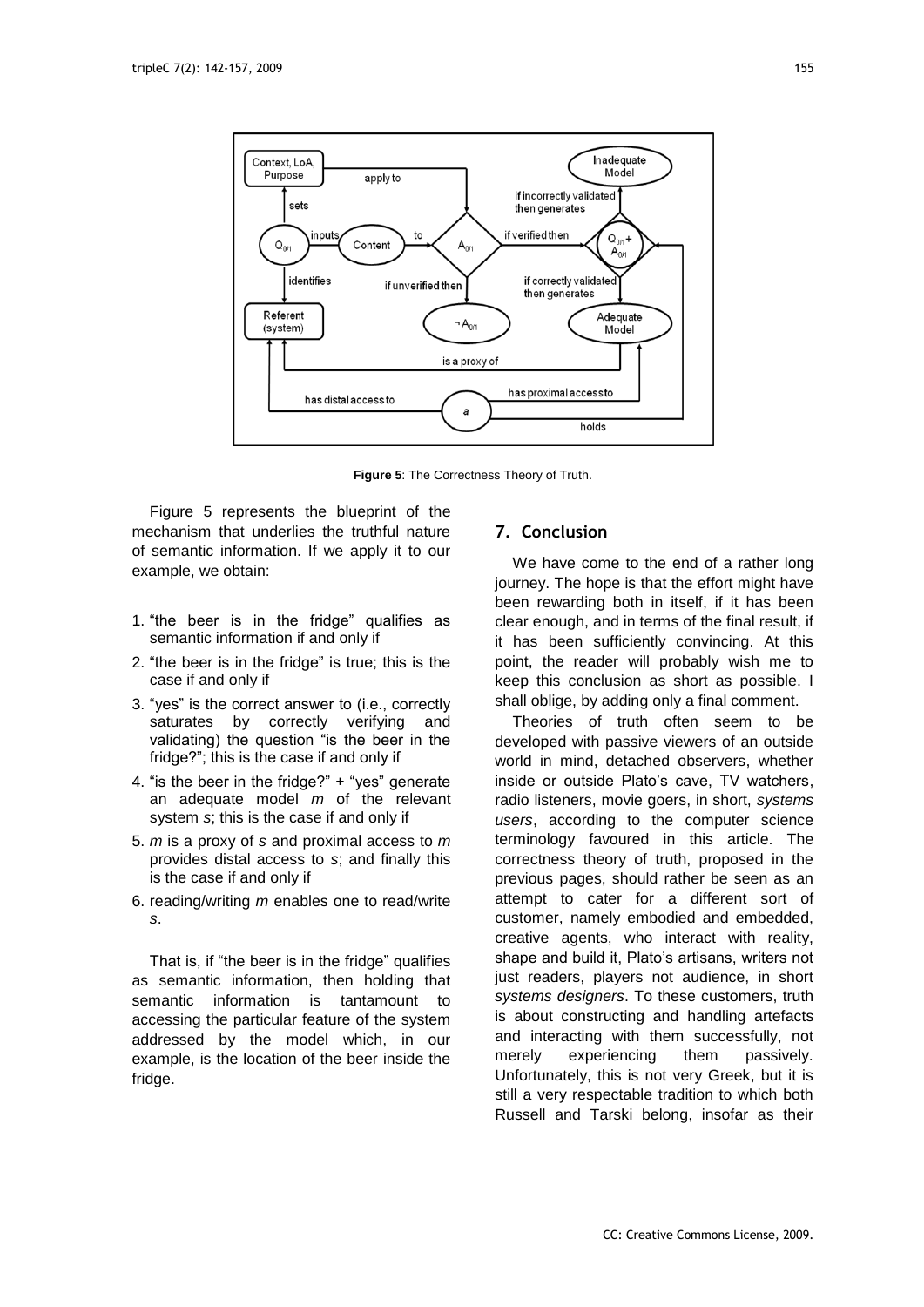

**Figure 5**: The Correctness Theory of Truth.

Figure 5 represents the blueprint of the mechanism that underlies the truthful nature of semantic information. If we apply it to our example, we obtain:

- 1. "the beer is in the fridge" qualifies as semantic information if and only if
- 2. "the beer is in the fridge" is true; this is the case if and only if
- 3. "yes" is the correct answer to (i.e., correctly saturates by correctly verifying and validating) the question "is the beer in the fridge?"; this is the case if and only if
- 4. "is the beer in the fridge?" + "yes" generate an adequate model *m* of the relevant system *s*; this is the case if and only if
- 5. *m* is a proxy of *s* and proximal access to *m* provides distal access to *s*; and finally this is the case if and only if
- 6. reading/writing *m* enables one to read/write *s*.

That is, if "the beer is in the fridge" qualifies as semantic information, then holding that semantic information is tantamount to accessing the particular feature of the system addressed by the model which, in our example, is the location of the beer inside the fridge.

### **7. Conclusion**

We have come to the end of a rather long journey. The hope is that the effort might have been rewarding both in itself, if it has been clear enough, and in terms of the final result, if it has been sufficiently convincing. At this point, the reader will probably wish me to keep this conclusion as short as possible. I shall oblige, by adding only a final comment.

Theories of truth often seem to be developed with passive viewers of an outside world in mind, detached observers, whether inside or outside Plato's cave, TV watchers, radio listeners, movie goers, in short, *systems users*, according to the computer science terminology favoured in this article. The correctness theory of truth, proposed in the previous pages, should rather be seen as an attempt to cater for a different sort of customer, namely embodied and embedded, creative agents, who interact with reality, shape and build it, Plato's artisans, writers not just readers, players not audience, in short *systems designers*. To these customers, truth is about constructing and handling artefacts and interacting with them successfully, not merely experiencing them passively. Unfortunately, this is not very Greek, but it is still a very respectable tradition to which both Russell and Tarski belong, insofar as their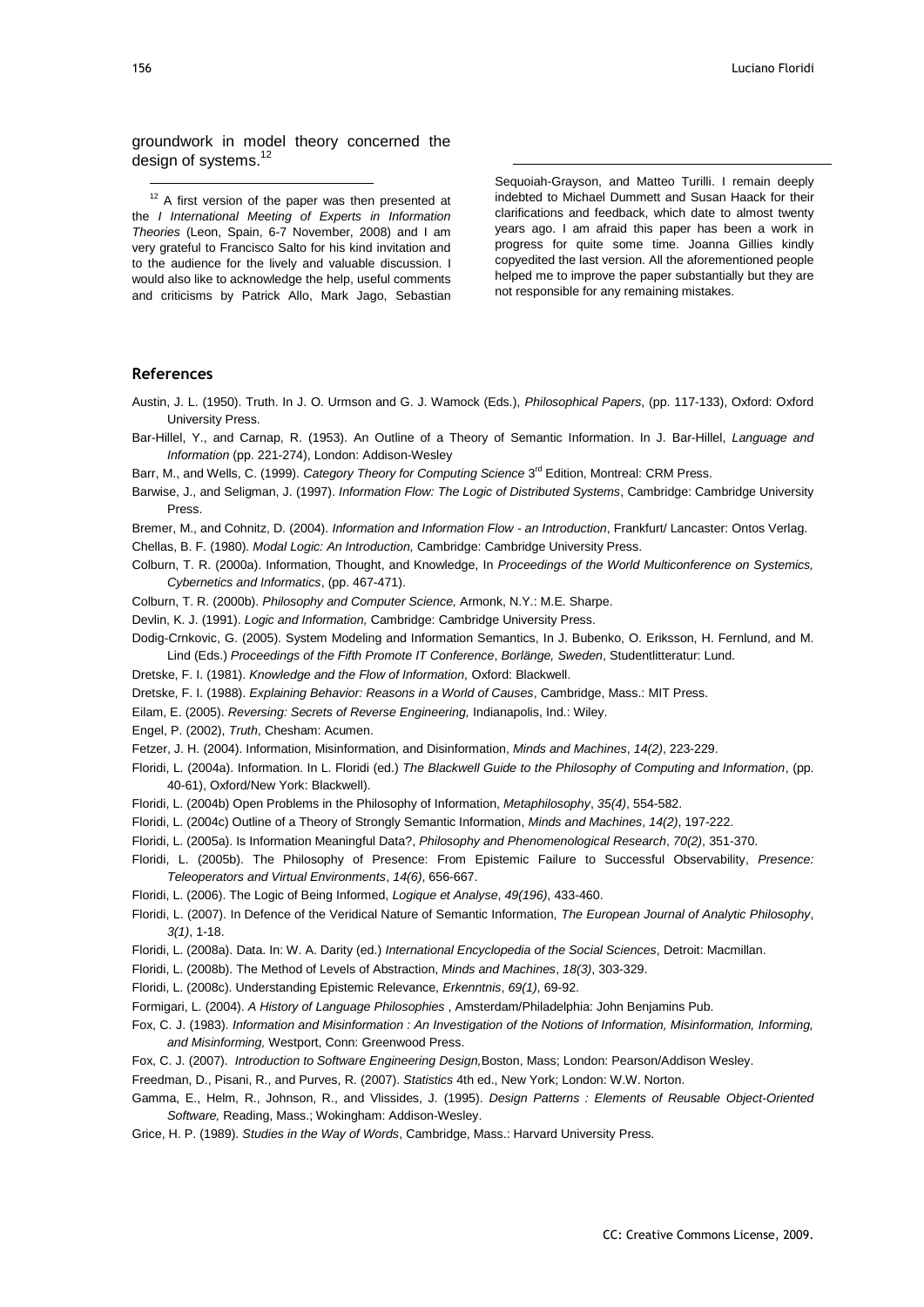groundwork in model theory concerned the design of systems.<sup>12</sup>

<sup>12</sup> A first version of the paper was then presented at the *I International Meeting of Experts in Information Theories* (Leon, Spain, 6-7 November, 2008) and I am very grateful to Francisco Salto for his kind invitation and to the audience for the lively and valuable discussion. I would also like to acknowledge the help, useful comments and criticisms by Patrick Allo, Mark Jago, Sebastian

Sequoiah-Grayson, and Matteo Turilli. I remain deeply indebted to Michael Dummett and Susan Haack for their clarifications and feedback, which date to almost twenty years ago. I am afraid this paper has been a work in progress for quite some time. Joanna Gillies kindly copyedited the last version. All the aforementioned people helped me to improve the paper substantially but they are not responsible for any remaining mistakes.

#### **References**

Austin, J. L. (1950). Truth. In J. O. Urmson and G. J. Wamock (Eds.), *Philosophical Papers*, (pp. 117-133), Oxford: Oxford University Press.

-

- Bar-Hillel, Y., and Carnap, R. (1953). An Outline of a Theory of Semantic Information. In J. Bar-Hillel, *Language and Information* (pp. 221-274), London: Addison-Wesley
- Barr, M., and Wells, C. (1999). Category Theory for Computing Science 3<sup>rd</sup> Edition, Montreal: CRM Press.
- Barwise, J., and Seligman, J. (1997). *Information Flow: The Logic of Distributed Systems*, Cambridge: Cambridge University Press.
- Bremer, M., and Cohnitz, D. (2004). *Information and Information Flow - an Introduction*, Frankfurt/ Lancaster: Ontos Verlag.
- Chellas, B. F. (1980). *Modal Logic: An Introduction,* Cambridge: Cambridge University Press.
- Colburn, T. R. (2000a). Information, Thought, and Knowledge, In *Proceedings of the World Multiconference on Systemics, Cybernetics and Informatics*, (pp. 467-471).
- Colburn, T. R. (2000b). *Philosophy and Computer Science,* Armonk, N.Y.: M.E. Sharpe.
- Devlin, K. J. (1991). *Logic and Information,* Cambridge: Cambridge University Press.
- Dodig-Crnkovic, G. (2005). System Modeling and Information Semantics, In J. Bubenko, O. Eriksson, H. Fernlund, and M. Lind (Eds.) *Proceedings of the Fifth Promote IT Conference*, *Borlänge, Sweden*, Studentlitteratur: Lund.
- Dretske, F. I. (1981). *Knowledge and the Flow of Information,* Oxford: Blackwell.
- Dretske, F. I. (1988). *Explaining Behavior: Reasons in a World of Causes*, Cambridge, Mass.: MIT Press.
- Eilam, E. (2005). *Reversing: Secrets of Reverse Engineering,* Indianapolis, Ind.: Wiley.
- Engel, P. (2002), *Truth*, Chesham: Acumen.

Fetzer, J. H. (2004). Information, Misinformation, and Disinformation, *Minds and Machines*, *14(2)*, 223-229.

- Floridi, L. (2004a). Information. In L. Floridi (ed.) *The Blackwell Guide to the Philosophy of Computing and Information*, (pp. 40-61), Oxford/New York: Blackwell).
- Floridi, L. (2004b) Open Problems in the Philosophy of Information, *Metaphilosophy*, *35(4)*, 554-582.
- Floridi, L. (2004c) Outline of a Theory of Strongly Semantic Information, *Minds and Machines*, *14(2)*, 197-222.
- Floridi, L. (2005a). Is Information Meaningful Data?, *Philosophy and Phenomenological Research*, *70(2)*, 351-370.
- Floridi, L. (2005b). The Philosophy of Presence: From Epistemic Failure to Successful Observability, *Presence: Teleoperators and Virtual Environments*, *14(6)*, 656-667.
- Floridi, L. (2006). The Logic of Being Informed, *Logique et Analyse*, *49(196)*, 433-460.
- Floridi, L. (2007). In Defence of the Veridical Nature of Semantic Information, *The European Journal of Analytic Philosophy*, *3(1)*, 1-18.
- Floridi, L. (2008a). Data. In: W. A. Darity (ed.) *International Encyclopedia of the Social Sciences*, Detroit: Macmillan.
- Floridi, L. (2008b). The Method of Levels of Abstraction, *Minds and Machines*, *18(3)*, 303-329.
- Floridi, L. (2008c). Understanding Epistemic Relevance, *Erkenntnis*, *69(1)*, 69-92.
- Formigari, L. (2004). *A History of Language Philosophies* , Amsterdam/Philadelphia: John Benjamins Pub.
- Fox, C. J. (1983). *Information and Misinformation : An Investigation of the Notions of Information, Misinformation, Informing, and Misinforming,* Westport, Conn: Greenwood Press.
- Fox, C. J. (2007). *Introduction to Software Engineering Design,*Boston, Mass; London: Pearson/Addison Wesley.
- Freedman, D., Pisani, R., and Purves, R. (2007). *Statistics* 4th ed., New York; London: W.W. Norton.
- Gamma, E., Helm, R., Johnson, R., and Vlissides, J. (1995). *Design Patterns : Elements of Reusable Object-Oriented Software,* Reading, Mass.; Wokingham: Addison-Wesley.
- Grice, H. P. (1989). *Studies in the Way of Words*, Cambridge, Mass.: Harvard University Press.

l